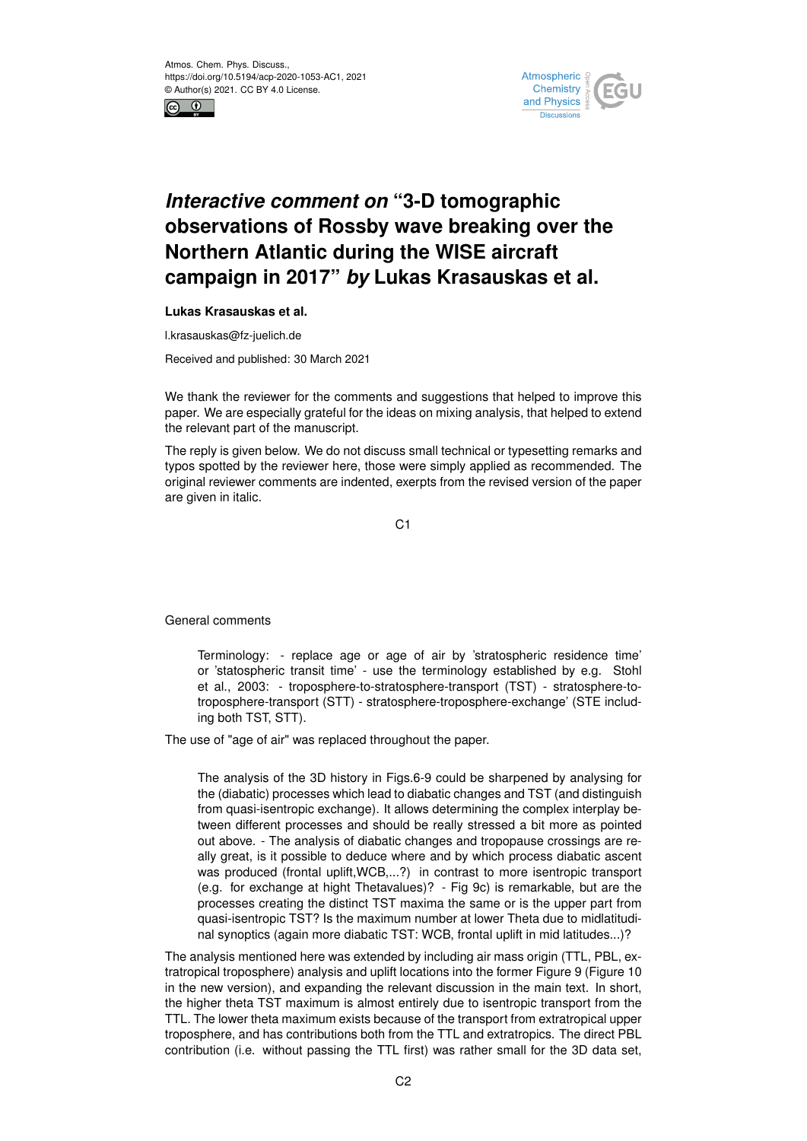



## *Interactive comment on* **"3-D tomographic observations of Rossby wave breaking over the Northern Atlantic during the WISE aircraft campaign in 2017"** *by* **Lukas Krasauskas et al.**

**Lukas Krasauskas et al.**

l.krasauskas@fz-juelich.de

Received and published: 30 March 2021

We thank the reviewer for the comments and suggestions that helped to improve this paper. We are especially grateful for the ideas on mixing analysis, that helped to extend the relevant part of the manuscript.

The reply is given below. We do not discuss small technical or typesetting remarks and typos spotted by the reviewer here, those were simply applied as recommended. The original reviewer comments are indented, exerpts from the revised version of the paper are given in italic.

C<sub>1</sub>

General comments

Terminology: - replace age or age of air by 'stratospheric residence time' or 'statospheric transit time' - use the terminology established by e.g. Stohl et al., 2003: - troposphere-to-stratosphere-transport (TST) - stratosphere-totroposphere-transport (STT) - stratosphere-troposphere-exchange' (STE including both TST, STT).

The use of "age of air" was replaced throughout the paper.

The analysis of the 3D history in Figs.6-9 could be sharpened by analysing for the (diabatic) processes which lead to diabatic changes and TST (and distinguish from quasi-isentropic exchange). It allows determining the complex interplay between different processes and should be really stressed a bit more as pointed out above. - The analysis of diabatic changes and tropopause crossings are really great, is it possible to deduce where and by which process diabatic ascent was produced (frontal uplift, WCB,...?) in contrast to more isentropic transport (e.g. for exchange at hight Thetavalues)? - Fig 9c) is remarkable, but are the processes creating the distinct TST maxima the same or is the upper part from quasi-isentropic TST? Is the maximum number at lower Theta due to midlatitudinal synoptics (again more diabatic TST: WCB, frontal uplift in mid latitudes...)?

The analysis mentioned here was extended by including air mass origin (TTL, PBL, extratropical troposphere) analysis and uplift locations into the former Figure 9 (Figure 10 in the new version), and expanding the relevant discussion in the main text. In short, the higher theta TST maximum is almost entirely due to isentropic transport from the TTL. The lower theta maximum exists because of the transport from extratropical upper troposphere, and has contributions both from the TTL and extratropics. The direct PBL contribution (i.e. without passing the TTL first) was rather small for the 3D data set,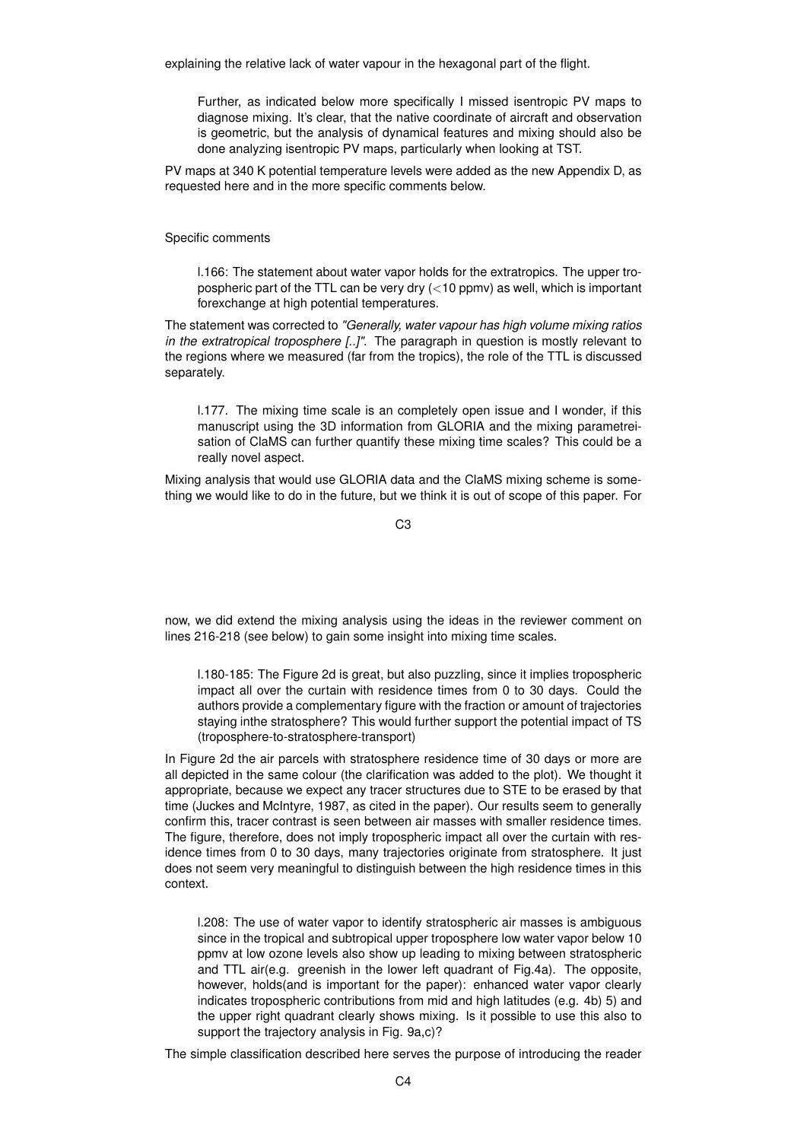explaining the relative lack of water vapour in the hexagonal part of the flight.

Further, as indicated below more specifically I missed isentropic PV maps to diagnose mixing. It's clear, that the native coordinate of aircraft and observation is geometric, but the analysis of dynamical features and mixing should also be done analyzing isentropic PV maps, particularly when looking at TST.

PV maps at 340 K potential temperature levels were added as the new Appendix D, as requested here and in the more specific comments below.

Specific comments

l.166: The statement about water vapor holds for the extratropics. The upper tropospheric part of the TTL can be very dry (<10 ppmv) as well, which is important forexchange at high potential temperatures.

The statement was corrected to *"Generally, water vapour has high volume mixing ratios in the extratropical troposphere [..]"*. The paragraph in question is mostly relevant to the regions where we measured (far from the tropics), the role of the TTL is discussed separately.

l.177. The mixing time scale is an completely open issue and I wonder, if this manuscript using the 3D information from GLORIA and the mixing parametreisation of ClaMS can further quantify these mixing time scales? This could be a really novel aspect.

Mixing analysis that would use GLORIA data and the ClaMS mixing scheme is something we would like to do in the future, but we think it is out of scope of this paper. For

 $C<sub>3</sub>$ 

now, we did extend the mixing analysis using the ideas in the reviewer comment on lines 216-218 (see below) to gain some insight into mixing time scales.

l.180-185: The Figure 2d is great, but also puzzling, since it implies tropospheric impact all over the curtain with residence times from 0 to 30 days. Could the authors provide a complementary figure with the fraction or amount of trajectories staying inthe stratosphere? This would further support the potential impact of TS (troposphere-to-stratosphere-transport)

In Figure 2d the air parcels with stratosphere residence time of 30 days or more are all depicted in the same colour (the clarification was added to the plot). We thought it appropriate, because we expect any tracer structures due to STE to be erased by that time (Juckes and McIntyre, 1987, as cited in the paper). Our results seem to generally confirm this, tracer contrast is seen between air masses with smaller residence times. The figure, therefore, does not imply tropospheric impact all over the curtain with residence times from 0 to 30 days, many trajectories originate from stratosphere. It just does not seem very meaningful to distinguish between the high residence times in this context.

l.208: The use of water vapor to identify stratospheric air masses is ambiguous since in the tropical and subtropical upper troposphere low water vapor below 10 ppmv at low ozone levels also show up leading to mixing between stratospheric and TTL air(e.g. greenish in the lower left quadrant of Fig.4a). The opposite, however, holds(and is important for the paper): enhanced water vapor clearly indicates tropospheric contributions from mid and high latitudes (e.g. 4b) 5) and the upper right quadrant clearly shows mixing. Is it possible to use this also to support the trajectory analysis in Fig. 9a,c)?

The simple classification described here serves the purpose of introducing the reader